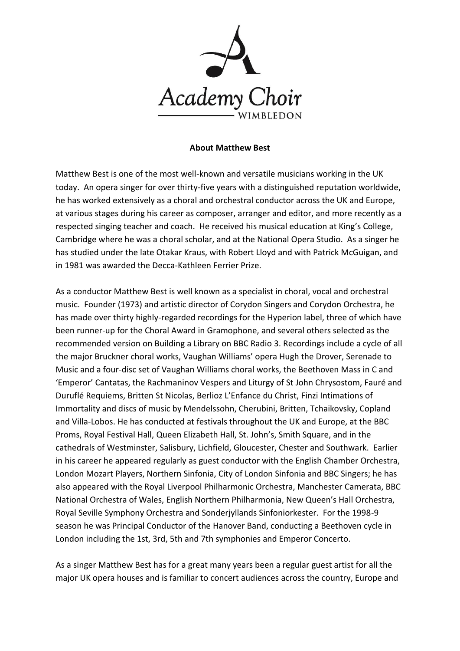

## **About Matthew Best**

Matthew Best is one of the most well-known and versatile musicians working in the UK today. An opera singer for over thirty-five years with a distinguished reputation worldwide, he has worked extensively as a choral and orchestral conductor across the UK and Europe, at various stages during his career as composer, arranger and editor, and more recently as a respected singing teacher and coach. He received his musical education at King's College, Cambridge where he was a choral scholar, and at the National Opera Studio. As a singer he has studied under the late Otakar Kraus, with Robert Lloyd and with Patrick McGuigan, and in 1981 was awarded the Decca-Kathleen Ferrier Prize.

As a conductor Matthew Best is well known as a specialist in choral, vocal and orchestral music. Founder (1973) and artistic director of Corydon Singers and Corydon Orchestra, he has made over thirty highly-regarded recordings for the Hyperion label, three of which have been runner-up for the Choral Award in Gramophone, and several others selected as the recommended version on Building a Library on BBC Radio 3. Recordings include a cycle of all the major Bruckner choral works, Vaughan Williams' opera Hugh the Drover, Serenade to Music and a four-disc set of Vaughan Williams choral works, the Beethoven Mass in C and 'Emperor' Cantatas, the Rachmaninov Vespers and Liturgy of St John Chrysostom, Fauré and Duruflé Requiems, Britten St Nicolas, Berlioz L'Enfance du Christ, Finzi Intimations of Immortality and discs of music by Mendelssohn, Cherubini, Britten, Tchaikovsky, Copland and Villa-Lobos. He has conducted at festivals throughout the UK and Europe, at the BBC Proms, Royal Festival Hall, Queen Elizabeth Hall, St. John's, Smith Square, and in the cathedrals of Westminster, Salisbury, Lichfield, Gloucester, Chester and Southwark. Earlier in his career he appeared regularly as guest conductor with the English Chamber Orchestra, London Mozart Players, Northern Sinfonia, City of London Sinfonia and BBC Singers; he has also appeared with the Royal Liverpool Philharmonic Orchestra, Manchester Camerata, BBC National Orchestra of Wales, English Northern Philharmonia, New Queen's Hall Orchestra, Royal Seville Symphony Orchestra and Sonderjyllands Sinfoniorkester. For the 1998-9 season he was Principal Conductor of the Hanover Band, conducting a Beethoven cycle in London including the 1st, 3rd, 5th and 7th symphonies and Emperor Concerto.

As a singer Matthew Best has for a great many years been a regular guest artist for all the major UK opera houses and is familiar to concert audiences across the country, Europe and